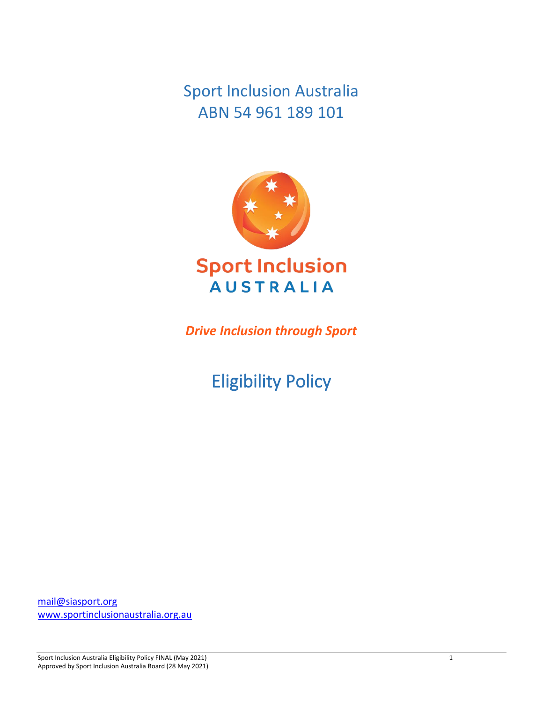Sport Inclusion Australia ABN 54 961 189 101



*Drive Inclusion through Sport*

Eligibility Policy

[mail@siasport.org](mailto:mail@siasport.org) [www.sportinclusionaustralia.org.au](http://www.sportinclusionaustralia.org.au/)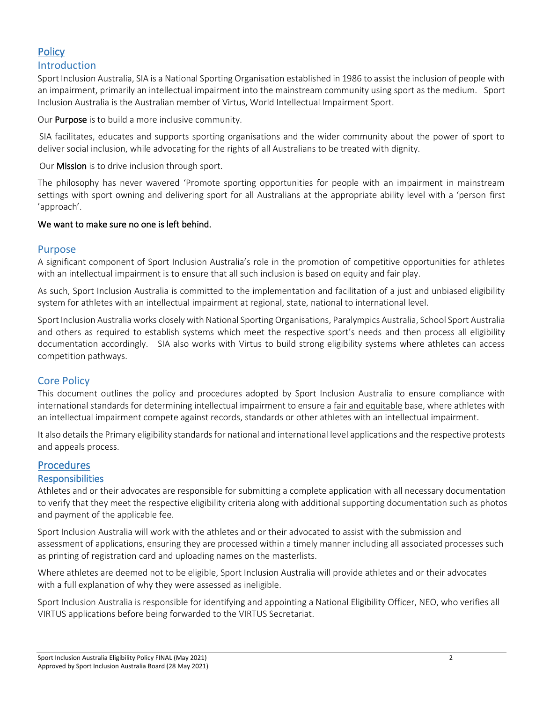# **Policy**

# Introduction

Sport Inclusion Australia, SIA is a National Sporting Organisation established in 1986 to assist the inclusion of people with an impairment, primarily an intellectual impairment into the mainstream community using sport as the medium. Sport Inclusion Australia is the Australian member of Virtus, World Intellectual Impairment Sport.

Our **Purpose** is to build a more inclusive community.

SIA facilitates, educates and supports sporting organisations and the wider community about the power of sport to deliver social inclusion, while advocating for the rights of all Australians to be treated with dignity.

Our Mission is to drive inclusion through sport.

The philosophy has never wavered 'Promote sporting opportunities for people with an impairment in mainstream settings with sport owning and delivering sport for all Australians at the appropriate ability level with a 'person first 'approach'.

#### We want to make sure no one is left behind.

#### Purpose

A significant component of Sport Inclusion Australia's role in the promotion of competitive opportunities for athletes with an intellectual impairment is to ensure that all such inclusion is based on equity and fair play.

As such, Sport Inclusion Australia is committed to the implementation and facilitation of a just and unbiased eligibility system for athletes with an intellectual impairment at regional, state, national to international level.

Sport Inclusion Australia works closely with National Sporting Organisations, Paralympics Australia, School Sport Australia and others as required to establish systems which meet the respective sport's needs and then process all eligibility documentation accordingly. SIA also works with Virtus to build strong eligibility systems where athletes can access competition pathways.

# Core Policy

This document outlines the policy and procedures adopted by Sport Inclusion Australia to ensure compliance with international standards for determining intellectual impairment to ensure a fair and equitable base, where athletes with an intellectual impairment compete against records, standards or other athletes with an intellectual impairment.

It also details the Primary eligibility standards for national and international level applications and the respective protests and appeals process.

# **Procedures**

#### **Responsibilities**

Athletes and or their advocates are responsible for submitting a complete application with all necessary documentation to verify that they meet the respective eligibility criteria along with additional supporting documentation such as photos and payment of the applicable fee.

Sport Inclusion Australia will work with the athletes and or their advocated to assist with the submission and assessment of applications, ensuring they are processed within a timely manner including all associated processes such as printing of registration card and uploading names on the masterlists.

Where athletes are deemed not to be eligible, Sport Inclusion Australia will provide athletes and or their advocates with a full explanation of why they were assessed as ineligible.

Sport Inclusion Australia is responsible for identifying and appointing a National Eligibility Officer, NEO, who verifies all VIRTUS applications before being forwarded to the VIRTUS Secretariat.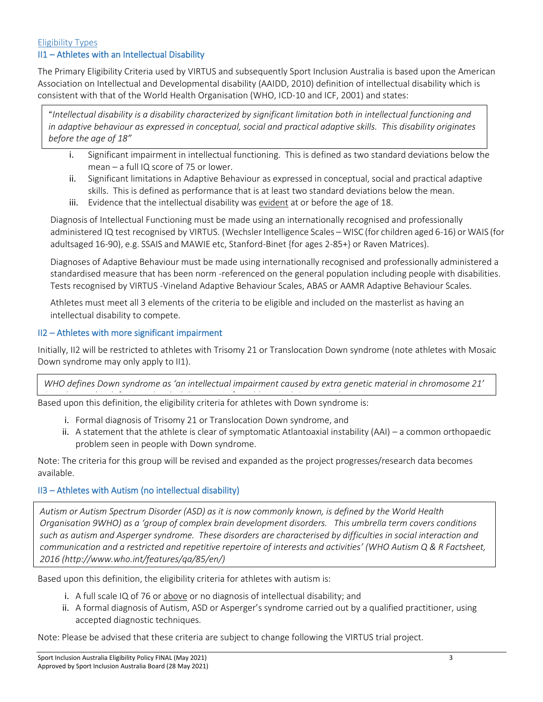#### Eligibility Types II1 – Athletes with an Intellectual Disability

The Primary Eligibility Criteria used by VIRTUS and subsequently Sport Inclusion Australia is based upon the American Association on Intellectual and Developmental disability (AAIDD, 2010) definition of intellectual disability which is consistent with that of the World Health Organisation (WHO, ICD-10 and ICF, 2001) and states:

"*Intellectual disability is a disability characterized by significant limitation both in intellectual functioning and in adaptive behaviour as expressed in conceptual, social and practical adaptive skills. This disability originates before the age of 18"*

- i. Significant impairment in intellectual functioning. This is defined as two standard deviations below the mean – a full IQ score of 75 or lower.
- ii. Significant limitations in Adaptive Behaviour as expressed in conceptual, social and practical adaptive skills. This is defined as performance that is at least two standard deviations below the mean.
- iii. Evidence that the intellectual disability was evident at or before the age of 18.

Diagnosis of Intellectual Functioning must be made using an internationally recognised and professionally administered IQ test recognised by VIRTUS. (Wechsler Intelligence Scales – WISC (for children aged 6-16) or WAIS (for adultsaged 16-90), e.g. SSAIS and MAWIE etc, Stanford-Binet {for ages 2-85+} or Raven Matrices).

Diagnoses of Adaptive Behaviour must be made using internationally recognised and professionally administered a standardised measure that has been norm -referenced on the general population including people with disabilities. Tests recognised by VIRTUS -Vineland Adaptive Behaviour Scales, ABAS or AAMR Adaptive Behaviour Scales.

Athletes must meet all 3 elements of the criteria to be eligible and included on the masterlist as having an intellectual disability to compete.

# II2 – Athletes with more significant impairment

Initially, II2 will be restricted to athletes with Trisomy 21 or Translocation Down syndrome (note athletes with Mosaic Down syndrome may only apply to II1).

*WHO defines Down syndrome as 'an intellectual impairment caused by extra genetic material in chromosome 21'*

Based upon this definition, the eligibility criteria for athletes with Down syndrome is: *Based upon this definition, the eligibility criteria for athletes with Down syndrome is:*

- i. Formal diagnosis of Trisomy 21 or Translocation Down syndrome, and
- ii. A statement that the athlete is clear of symptomatic Atlantoaxial instability (AAI) a common orthopaedic problem seen in people with Down syndrome.

Note: The criteria for this group will be revised and expanded as the project progresses/research data becomes available.

# II3 – Athletes with Autism (no intellectual disability)

*Autism or Autism Spectrum Disorder (ASD) as it is now commonly known, is defined by the World Health Organisation 9WHO) as a 'group of complex brain development disorders. This umbrella term covers conditions such as autism and Asperger syndrome. These disorders are characterised by difficulties in social interaction and communication and a restricted and repetitive repertoire of interests and activities' (WHO Autism Q & R Factsheet, 2016 (http://www.who.int/features/qa/85/en/)*

Based upon this definition, the eligibility criteria for athletes with autism is:

- i. A full scale IQ of 76 or above or no diagnosis of intellectual disability; and
- ii. A formal diagnosis of Autism, ASD or Asperger's syndrome carried out by a qualified practitioner, using accepted diagnostic techniques.

Note: Please be advised that these criteria are subject to change following the VIRTUS trial project.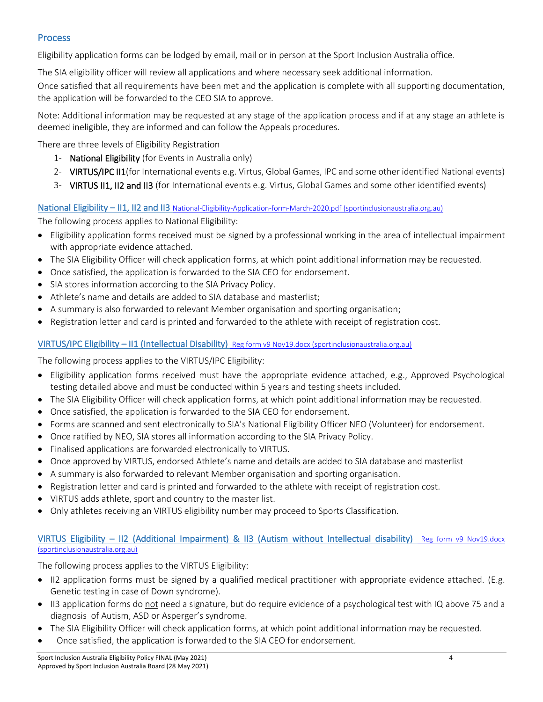# **Process**

Eligibility application forms can be lodged by email, mail or in person at the Sport Inclusion Australia office.

The SIA eligibility officer will review all applications and where necessary seek additional information.

Once satisfied that all requirements have been met and the application is complete with all supporting documentation, the application will be forwarded to the CEO SIA to approve.

Note: Additional information may be requested at any stage of the application process and if at any stage an athlete is deemed ineligible, they are informed and can follow the Appeals procedures.

There are three levels of Eligibility Registration

- 1- National Eligibility (for Events in Australia only)
- 2- VIRTUS/IPC II1(for International events e.g. Virtus, Global Games, IPC and some other identified National events)
- 3- VIRTUS II1, II2 and II3 (for International events e.g. Virtus, Global Games and some other identified events)

### National Eligibility – II1, II2 and II3 National-Eligibility-Application-form-March-2020.pdf (sportinclusionaustralia.org.au)

The following process applies to National Eligibility:

- Eligibility application forms received must be signed by a professional working in the area of intellectual impairment with appropriate evidence attached.
- The SIA Eligibility Officer will check application forms, at which point additional information may be requested.
- Once satisfied, the application is forwarded to the SIA CEO for endorsement.
- SIA stores information according to the SIA Privacy Policy.
- Athlete's name and details are added to SIA database and masterlist;
- A summary is also forwarded to relevant Member organisation and sporting organisation;
- Registration letter and card is printed and forwarded to the athlete with receipt of registration cost.

# VIRTUS/IPC Eligibility – II1 (Intellectual Disability) [Reg form v9 Nov19.docx \(sportinclusionaustralia.org.au\)](https://sportinclusionaustralia.org.au/wp-content/uploads/2021/02/Reg-form-v9-Nov19.pdf)

The following process applies to the VIRTUS/IPC Eligibility:

- Eligibility application forms received must have the appropriate evidence attached, e.g., Approved Psychological testing detailed above and must be conducted within 5 years and testing sheets included.
- The SIA Eligibility Officer will check application forms, at which point additional information may be requested.
- Once satisfied, the application is forwarded to the SIA CEO for endorsement.
- Forms are scanned and sent electronically to SIA's National Eligibility Officer NEO (Volunteer) for endorsement.
- Once ratified by NEO, SIA stores all information according to the SIA Privacy Policy.
- Finalised applications are forwarded electronically to VIRTUS.
- Once approved by VIRTUS, endorsed Athlete's name and details are added to SIA database and masterlist
- A summary is also forwarded to relevant Member organisation and sporting organisation.
- Registration letter and card is printed and forwarded to the athlete with receipt of registration cost.
- VIRTUS adds athlete, sport and country to the master list.
- Only athletes receiving an VIRTUS eligibility number may proceed to Sports Classification.

#### VIRTUS Eligibility – II2 (Additional Impairment) & II3 (Autism without Intellectual disability) [Reg form v9 Nov19.docx](https://sportinclusionaustralia.org.au/wp-content/uploads/2021/02/Reg-form-v9-Nov19-II2-Additional-impairment.pdf)  [\(sportinclusionaustralia.org.au\)](https://sportinclusionaustralia.org.au/wp-content/uploads/2021/02/Reg-form-v9-Nov19-II2-Additional-impairment.pdf)

The following process applies to the VIRTUS Eligibility:

- II2 application forms must be signed by a qualified medical practitioner with appropriate evidence attached. (E.g. Genetic testing in case of Down syndrome).
- II3 application forms do not need a signature, but do require evidence of a psychological test with IQ above 75 and a diagnosis of Autism, ASD or Asperger's syndrome.
- The SIA Eligibility Officer will check application forms, at which point additional information may be requested.
- Once satisfied, the application is forwarded to the SIA CEO for endorsement.